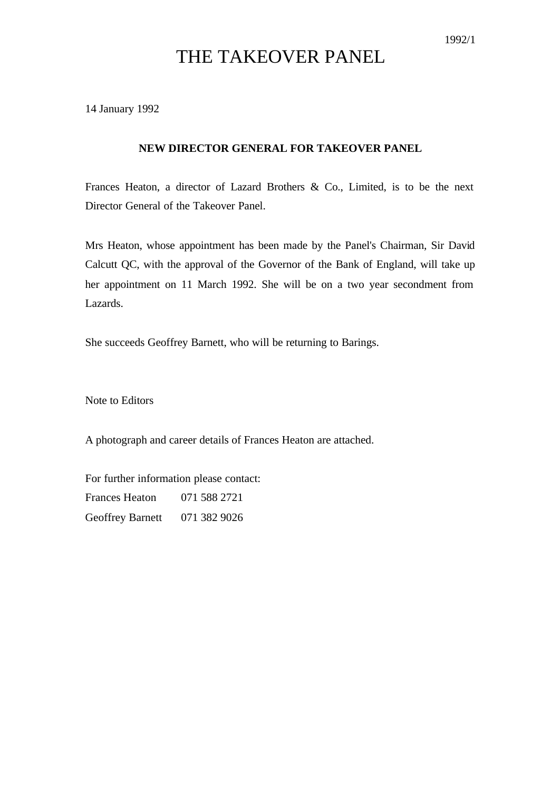## THE TAKEOVER PANEL

14 January 1992

## **NEW DIRECTOR GENERAL FOR TAKEOVER PANEL**

Frances Heaton, a director of Lazard Brothers & Co., Limited, is to be the next Director General of the Takeover Panel.

Mrs Heaton, whose appointment has been made by the Panel's Chairman, Sir David Calcutt QC, with the approval of the Governor of the Bank of England, will take up her appointment on 11 March 1992. She will be on a two year secondment from Lazards.

She succeeds Geoffrey Barnett, who will be returning to Barings.

Note to Editors

A photograph and career details of Frances Heaton are attached.

For further information please contact: Frances Heaton 071 588 2721 Geoffrey Barnett 071 382 9026